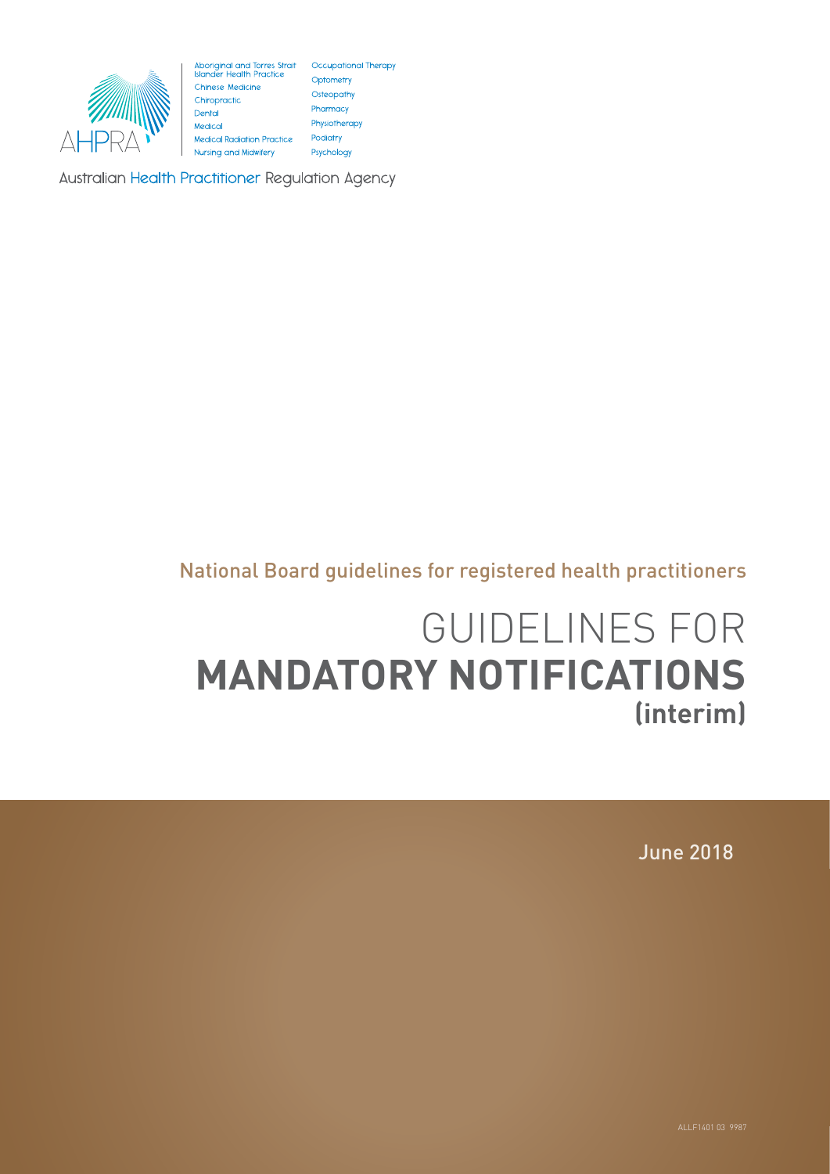

Aboriginal and Torres Strait Occupational Therapy<br>
Mander Health Practice Optometry<br>
Chinese Medicine Osteopathy<br>
Chiropractic Osteopathy<br>
Dental Pharmacy<br>
Medical Physiotherapy Physiotherapy Medical Podiatry **Medical Radiation Practice** Nursing and Midwifery Psychology

**Australian Health Practitioner Regulation Agency** 

# National Board guidelines for registered health practitioners

# GUIDELINES FOR **MANDATORY NOTIFICATIONS (interim)**

June 2018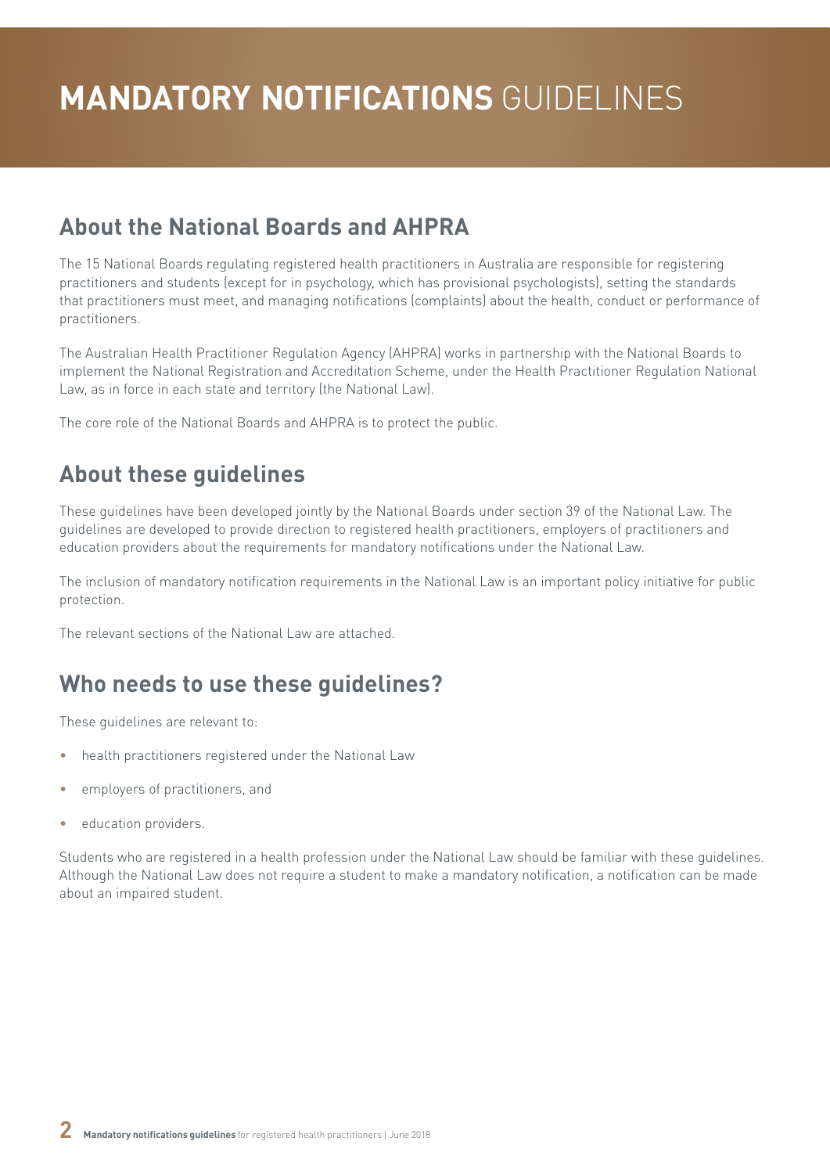# **About the National Boards and AHPRA**

The 15 National Boards regulating registered health practitioners in Australia are responsible for registering practitioners and students (except for in psychology, which has provisional psychologists), setting the standards that practitioners must meet, and managing notifications (complaints) about the health, conduct or performance of practitioners.

The Australian Health Practitioner Regulation Agency (AHPRA) works in partnership with the National Boards to implement the National Registration and Accreditation Scheme, under the Health Practitioner Regulation National Law, as in force in each state and territory (the National Law).

The core role of the National Boards and AHPRA is to protect the public.

# **About these guidelines**

These guidelines have been developed jointly by the National Boards under section 39 of the National Law. The guidelines are developed to provide direction to registered health practitioners, employers of practitioners and education providers about the requirements for mandatory notifications under the National Law.

The inclusion of mandatory notification requirements in the National Law is an important policy initiative for public protection.

The relevant sections of the National Law are attached.

# **Who needs to use these guidelines?**

These guidelines are relevant to:

- health practitioners registered under the National Law
- employers of practitioners, and
- education providers.

Students who are registered in a health profession under the National Law should be familiar with these guidelines. Although the National Law does not require a student to make a mandatory notification, a notification can be made about an impaired student.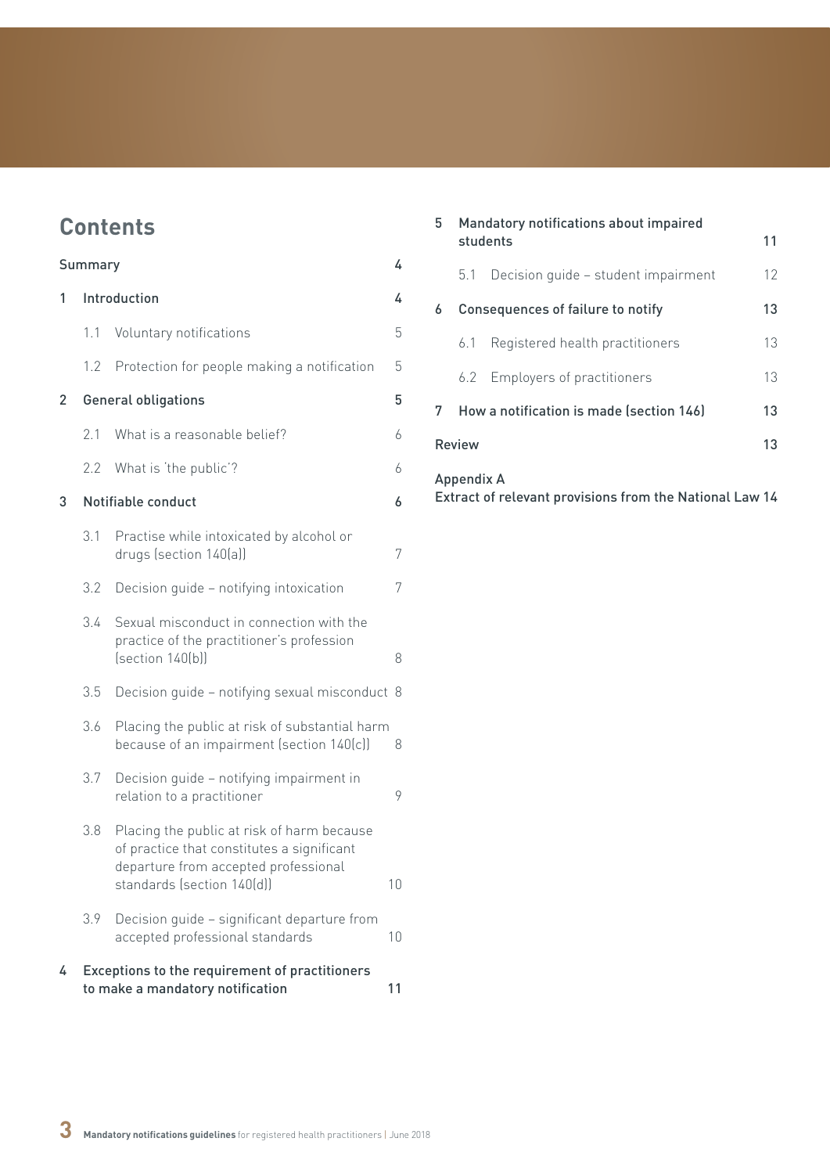# **Contents**

| Summary<br>4 |              |                                                                                                                                                                |    |  |  |
|--------------|--------------|----------------------------------------------------------------------------------------------------------------------------------------------------------------|----|--|--|
| 1            | Introduction |                                                                                                                                                                |    |  |  |
|              | 1.1          | Voluntary notifications                                                                                                                                        | 5  |  |  |
|              | 1.2          | Protection for people making a notification                                                                                                                    | 5  |  |  |
| $\mathbf{2}$ |              | <b>General obligations</b>                                                                                                                                     | 5  |  |  |
|              | 2.1          | What is a reasonable belief?                                                                                                                                   | 6  |  |  |
|              | 2.2          | What is 'the public'?                                                                                                                                          | 6  |  |  |
| 3            |              | Notifiable conduct                                                                                                                                             | 6  |  |  |
|              | 3.1          | Practise while intoxicated by alcohol or<br>drugs (section 140(a))                                                                                             | 7  |  |  |
|              | 3.2          | Decision guide - notifying intoxication                                                                                                                        | 7  |  |  |
|              | 3.4          | Sexual misconduct in connection with the<br>practice of the practitioner's profession<br>[section 140(b)]                                                      | 8  |  |  |
|              | 3.5          | Decision guide - notifying sexual misconduct 8                                                                                                                 |    |  |  |
|              | 3.6          | Placing the public at risk of substantial harm<br>because of an impairment (section 140(c))                                                                    | 8  |  |  |
|              | 3.7          | Decision guide - notifying impairment in<br>relation to a practitioner                                                                                         | 9  |  |  |
|              | 3.8          | Placing the public at risk of harm because<br>of practice that constitutes a significant<br>departure from accepted professional<br>standards (section 140(d)) | 10 |  |  |
|              | 3.9          | Decision guide - significant departure from<br>accepted professional standards                                                                                 | 10 |  |  |
| 4            |              | Exceptions to the requirement of practitioners<br>to make a mandatory notification                                                                             | 11 |  |  |

| 5                 | Mandatory notifications about impaired<br>students |                                          | 11 |  |  |
|-------------------|----------------------------------------------------|------------------------------------------|----|--|--|
|                   | 5.1                                                | Decision quide - student impairment      | 12 |  |  |
| 6                 | Consequences of failure to notify                  |                                          |    |  |  |
|                   | 6.1                                                | Registered health practitioners          | 13 |  |  |
|                   | 6.2                                                | Employers of practitioners               | 13 |  |  |
| 7                 |                                                    | How a notification is made (section 146) | 13 |  |  |
| <b>Review</b>     |                                                    |                                          |    |  |  |
| <b>Appendix A</b> |                                                    |                                          |    |  |  |

[Extract of relevant provisions from the National Law](#page-13-0) 14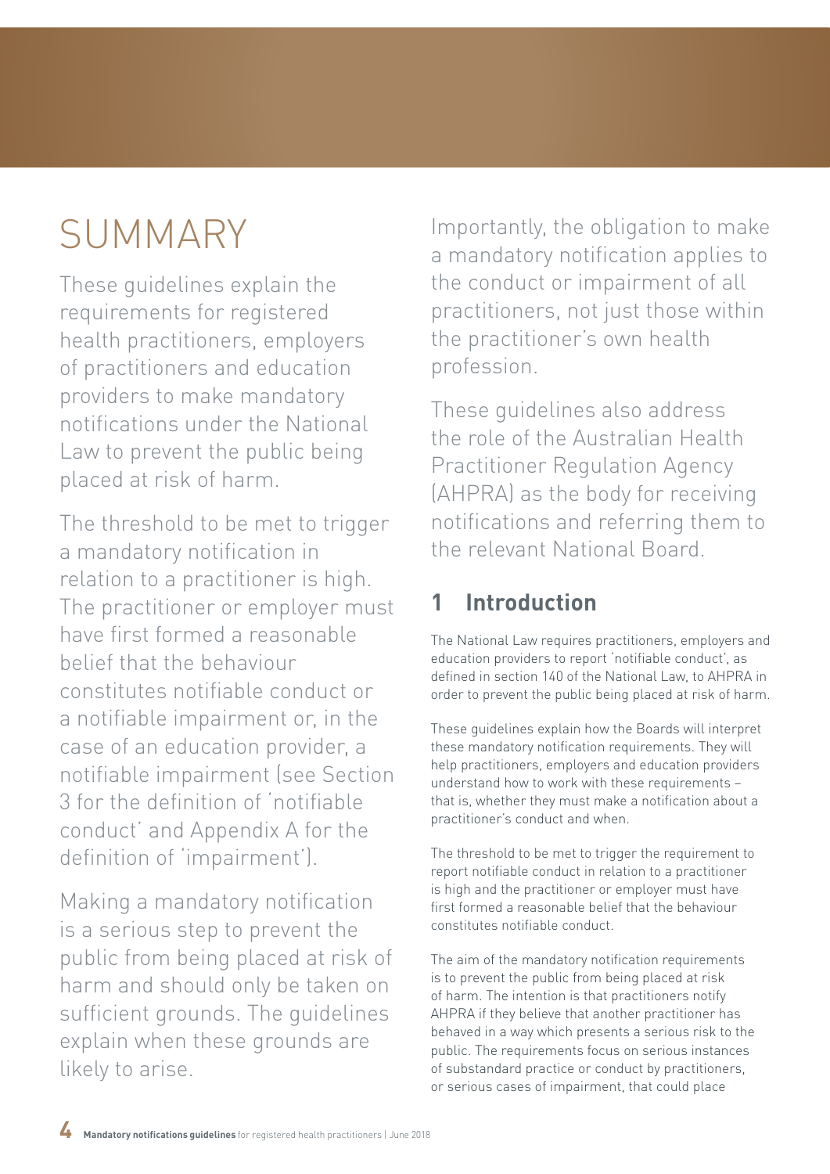# <span id="page-3-0"></span>SUMMARY

These guidelines explain the requirements for registered health practitioners, employers of practitioners and education providers to make mandatory notifications under the National Law to prevent the public being placed at risk of harm.

The threshold to be met to trigger a mandatory notification in relation to a practitioner is high. The practitioner or employer must have first formed a reasonable belief that the behaviour constitutes notifiable conduct or a notifiable impairment or, in the case of an education provider, a notifiable impairment (see Section 3 for the definition of 'notifiable conduct' and Appendix A for the definition of 'impairment').

Making a mandatory notification is a serious step to prevent the public from being placed at risk of harm and should only be taken on sufficient grounds. The guidelines explain when these grounds are likely to arise.

Importantly, the obligation to make a mandatory notification applies to the conduct or impairment of all practitioners, not just those within the practitioner's own health profession.

These guidelines also address the role of the Australian Health Practitioner Regulation Agency (AHPRA) as the body for receiving notifications and referring them to the relevant National Board.

# **1 Introduction**

The National Law requires practitioners, employers and education providers to report 'notifiable conduct', as defined in section 140 of the National Law, to AHPRA in order to prevent the public being placed at risk of harm.

These guidelines explain how the Boards will interpret these mandatory notification requirements. They will help practitioners, employers and education providers understand how to work with these requirements – that is, whether they must make a notification about a practitioner's conduct and when.

The threshold to be met to trigger the requirement to report notifiable conduct in relation to a practitioner is high and the practitioner or employer must have first formed a reasonable belief that the behaviour constitutes notifiable conduct.

The aim of the mandatory notification requirements is to prevent the public from being placed at risk of harm. The intention is that practitioners notify AHPRA if they believe that another practitioner has behaved in a way which presents a serious risk to the public. The requirements focus on serious instances of substandard practice or conduct by practitioners, or serious cases of impairment, that could place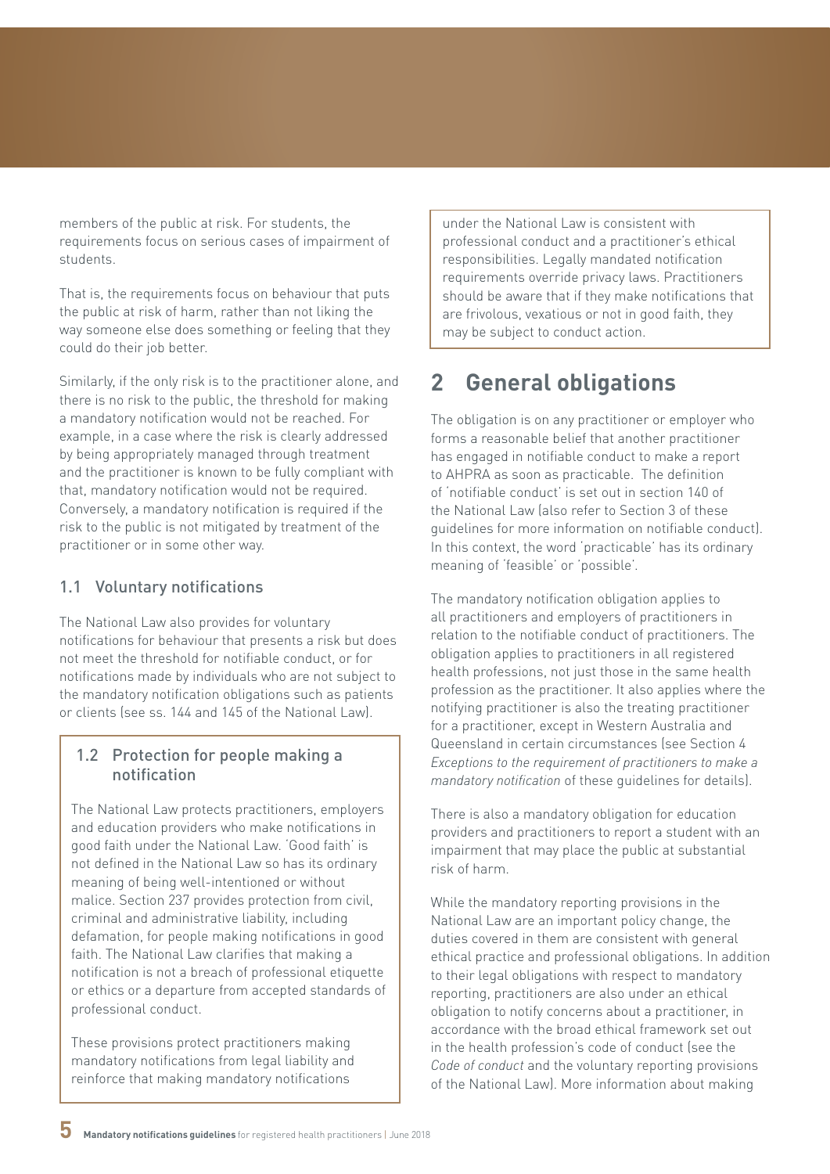<span id="page-4-0"></span>members of the public at risk. For students, the requirements focus on serious cases of impairment of students.

That is, the requirements focus on behaviour that puts the public at risk of harm, rather than not liking the way someone else does something or feeling that they could do their job better.

Similarly, if the only risk is to the practitioner alone, and there is no risk to the public, the threshold for making a mandatory notification would not be reached. For example, in a case where the risk is clearly addressed by being appropriately managed through treatment and the practitioner is known to be fully compliant with that, mandatory notification would not be required. Conversely, a mandatory notification is required if the risk to the public is not mitigated by treatment of the practitioner or in some other way.

### 1.1 Voluntary notifications

The National Law also provides for voluntary notifications for behaviour that presents a risk but does not meet the threshold for notifiable conduct, or for notifications made by individuals who are not subject to the mandatory notification obligations such as patients or clients (see ss. 144 and 145 of the National Law).

### 1.2 Protection for people making a notification

The National Law protects practitioners, employers and education providers who make notifications in good faith under the National Law. 'Good faith' is not defined in the National Law so has its ordinary meaning of being well-intentioned or without malice. Section 237 provides protection from civil, criminal and administrative liability, including defamation, for people making notifications in good faith. The National Law clarifies that making a notification is not a breach of professional etiquette or ethics or a departure from accepted standards of professional conduct.

These provisions protect practitioners making mandatory notifications from legal liability and reinforce that making mandatory notifications

under the National Law is consistent with professional conduct and a practitioner's ethical responsibilities. Legally mandated notification requirements override privacy laws. Practitioners should be aware that if they make notifications that are frivolous, vexatious or not in good faith, they may be subject to conduct action.

# **2 General obligations**

The obligation is on any practitioner or employer who forms a reasonable belief that another practitioner has engaged in notifiable conduct to make a report to AHPRA as soon as practicable. The definition of 'notifiable conduct' is set out in section 140 of the National Law (also refer to Section 3 of these guidelines for more information on notifiable conduct). In this context, the word 'practicable' has its ordinary meaning of 'feasible' or 'possible'.

The mandatory notification obligation applies to all practitioners and employers of practitioners in relation to the notifiable conduct of practitioners. The obligation applies to practitioners in all registered health professions, not just those in the same health profession as the practitioner. It also applies where the notifying practitioner is also the treating practitioner for a practitioner, except in Western Australia and Queensland in certain circumstances (see Section 4 *Exceptions to the requirement of practitioners to make a mandatory notification* of these guidelines for details).

There is also a mandatory obligation for education providers and practitioners to report a student with an impairment that may place the public at substantial risk of harm.

While the mandatory reporting provisions in the National Law are an important policy change, the duties covered in them are consistent with general ethical practice and professional obligations. In addition to their legal obligations with respect to mandatory reporting, practitioners are also under an ethical obligation to notify concerns about a practitioner, in accordance with the broad ethical framework set out in the health profession's code of conduct (see the *Code of conduct* and the voluntary reporting provisions of the National Law). More information about making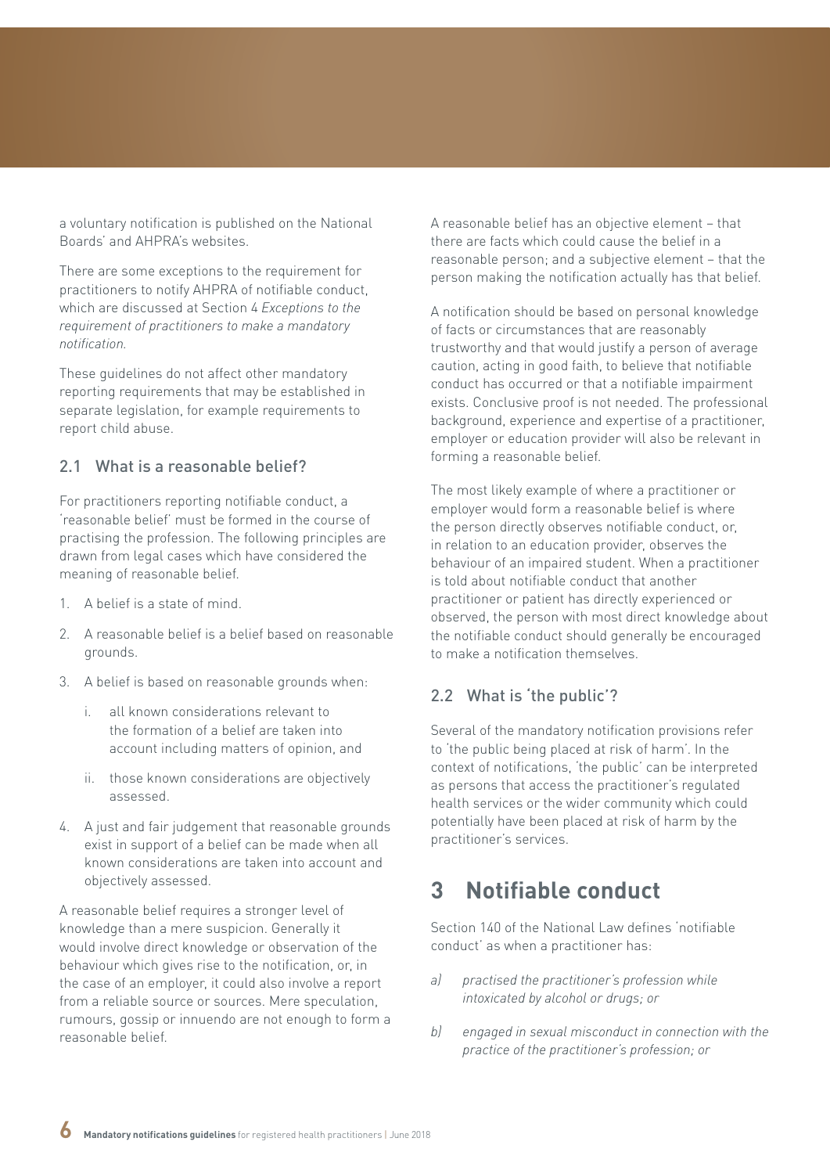<span id="page-5-0"></span>a voluntary notification is published on the National Boards' and AHPRA's websites.

There are some exceptions to the requirement for practitioners to notify AHPRA of notifiable conduct, which are discussed at Section 4 *Exceptions to the requirement of practitioners to make a mandatory notification.*

These guidelines do not affect other mandatory reporting requirements that may be established in separate legislation, for example requirements to report child abuse.

### 2.1 What is a reasonable belief?

For practitioners reporting notifiable conduct, a 'reasonable belief' must be formed in the course of practising the profession. The following principles are drawn from legal cases which have considered the meaning of reasonable belief.

- 1. A belief is a state of mind.
- 2. A reasonable belief is a belief based on reasonable grounds.
- 3. A belief is based on reasonable grounds when:
	- all known considerations relevant to the formation of a belief are taken into account including matters of opinion, and
	- ii. those known considerations are objectively assessed.
- 4. A just and fair judgement that reasonable grounds exist in support of a belief can be made when all known considerations are taken into account and objectively assessed.

A reasonable belief requires a stronger level of knowledge than a mere suspicion. Generally it would involve direct knowledge or observation of the behaviour which gives rise to the notification, or, in the case of an employer, it could also involve a report from a reliable source or sources. Mere speculation, rumours, gossip or innuendo are not enough to form a reasonable belief.

A reasonable belief has an objective element – that there are facts which could cause the belief in a reasonable person; and a subjective element – that the person making the notification actually has that belief.

A notification should be based on personal knowledge of facts or circumstances that are reasonably trustworthy and that would justify a person of average caution, acting in good faith, to believe that notifiable conduct has occurred or that a notifiable impairment exists. Conclusive proof is not needed. The professional background, experience and expertise of a practitioner, employer or education provider will also be relevant in forming a reasonable belief.

The most likely example of where a practitioner or employer would form a reasonable belief is where the person directly observes notifiable conduct, or, in relation to an education provider, observes the behaviour of an impaired student. When a practitioner is told about notifiable conduct that another practitioner or patient has directly experienced or observed, the person with most direct knowledge about the notifiable conduct should generally be encouraged to make a notification themselves.

## 2.2 What is 'the public'?

Several of the mandatory notification provisions refer to 'the public being placed at risk of harm'. In the context of notifications, 'the public' can be interpreted as persons that access the practitioner's regulated health services or the wider community which could potentially have been placed at risk of harm by the practitioner's services.

# **3 Notifiable conduct**

Section 140 of the National Law defines 'notifiable conduct' as when a practitioner has:

- *a) practised the practitioner's profession while intoxicated by alcohol or drugs; or*
- *b) engaged in sexual misconduct in connection with the practice of the practitioner's profession; or*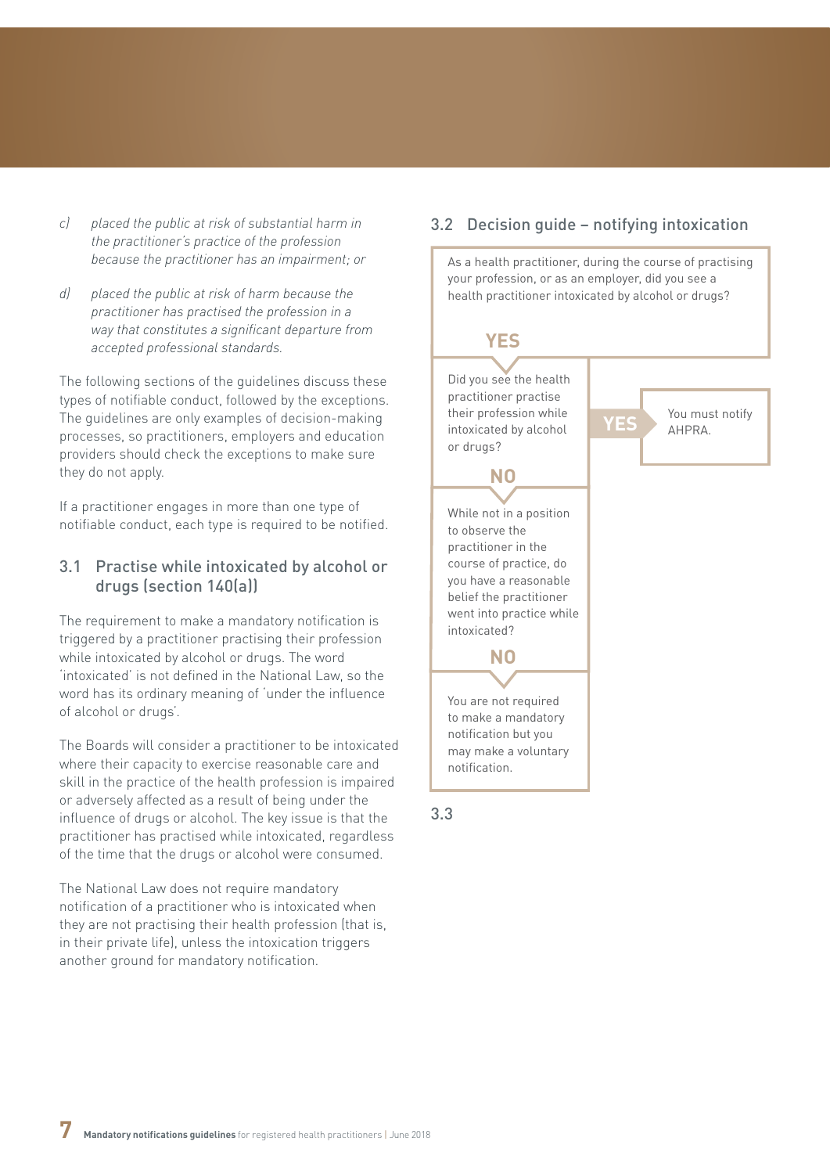- <span id="page-6-0"></span>*c) placed the public at risk of substantial harm in the practitioner's practice of the profession because the practitioner has an impairment; or*
- *d) placed the public at risk of harm because the practitioner has practised the profession in a way that constitutes a significant departure from accepted professional standards.*

The following sections of the guidelines discuss these types of notifiable conduct, followed by the exceptions. The guidelines are only examples of decision-making processes, so practitioners, employers and education providers should check the exceptions to make sure they do not apply.

If a practitioner engages in more than one type of notifiable conduct, each type is required to be notified.

### 3.1 Practise while intoxicated by alcohol or drugs (section 140(a))

The requirement to make a mandatory notification is triggered by a practitioner practising their profession while intoxicated by alcohol or drugs. The word 'intoxicated' is not defined in the National Law, so the word has its ordinary meaning of 'under the influence of alcohol or drugs'.

The Boards will consider a practitioner to be intoxicated where their capacity to exercise reasonable care and skill in the practice of the health profession is impaired or adversely affected as a result of being under the influence of drugs or alcohol. The key issue is that the practitioner has practised while intoxicated, regardless of the time that the drugs or alcohol were consumed.

The National Law does not require mandatory notification of a practitioner who is intoxicated when they are not practising their health profession (that is, in their private life), unless the intoxication triggers another ground for mandatory notification.

### 3.2 Decision guide – notifying intoxication

As a health practitioner, during the course of practising your profession, or as an employer, did you see a health practitioner intoxicated by alcohol or drugs?

# **YES**

Did you see the health practitioner practise their profession while intoxicated by alcohol or drugs?

**NO**

While not in a position to observe the practitioner in the course of practice, do you have a reasonable belief the practitioner went into practice while intoxicated?

You must notify<br>AHPRA.

You are not required to make a mandatory notification but you may make a voluntary notification.

**NO**

3.3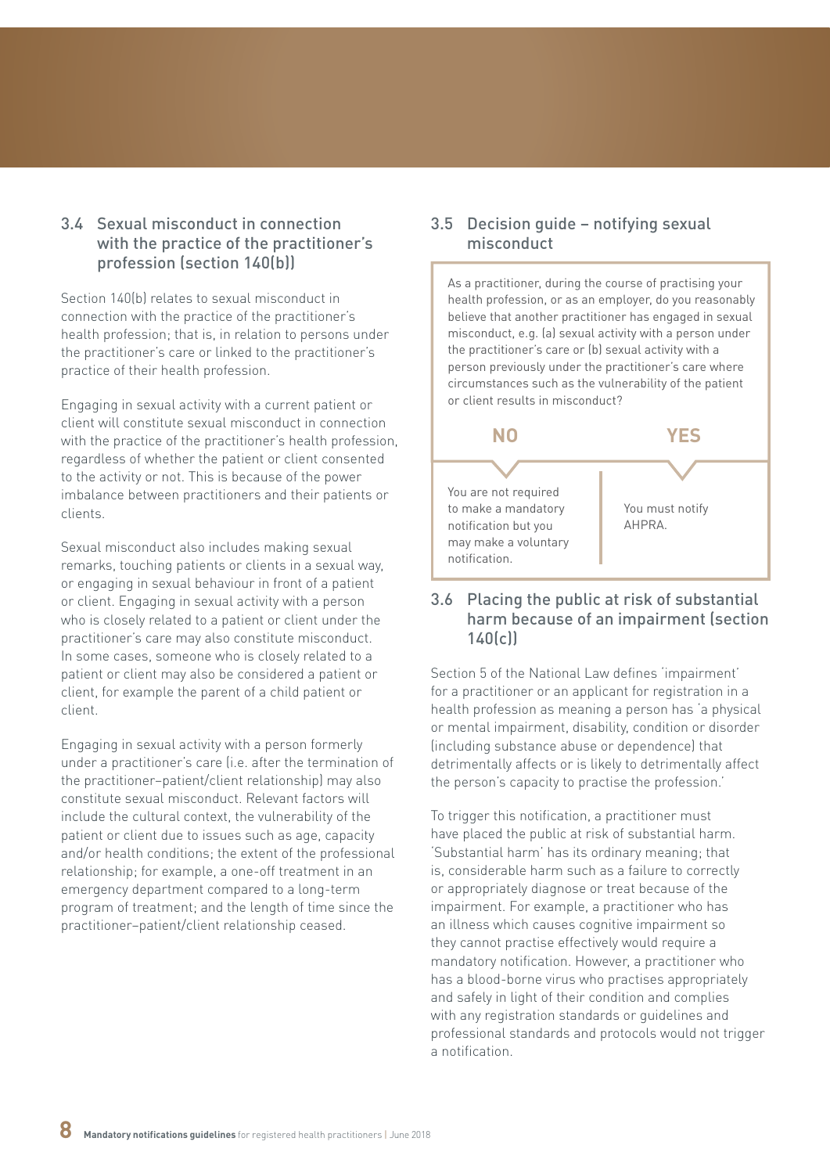### <span id="page-7-0"></span>3.4 Sexual misconduct in connection with the practice of the practitioner's profession (section 140(b))

Section 140(b) relates to sexual misconduct in connection with the practice of the practitioner's health profession; that is, in relation to persons under the practitioner's care or linked to the practitioner's practice of their health profession.

Engaging in sexual activity with a current patient or client will constitute sexual misconduct in connection with the practice of the practitioner's health profession, regardless of whether the patient or client consented to the activity or not. This is because of the power imbalance between practitioners and their patients or clients.

Sexual misconduct also includes making sexual remarks, touching patients or clients in a sexual way, or engaging in sexual behaviour in front of a patient or client. Engaging in sexual activity with a person who is closely related to a patient or client under the practitioner's care may also constitute misconduct. In some cases, someone who is closely related to a patient or client may also be considered a patient or client, for example the parent of a child patient or client.

Engaging in sexual activity with a person formerly under a practitioner's care (i.e. after the termination of the practitioner–patient/client relationship) may also constitute sexual misconduct. Relevant factors will include the cultural context, the vulnerability of the patient or client due to issues such as age, capacity and/or health conditions; the extent of the professional relationship; for example, a one-off treatment in an emergency department compared to a long-term program of treatment; and the length of time since the practitioner–patient/client relationship ceased.

### 3.5 Decision guide – notifying sexual misconduct



### 3.6 Placing the public at risk of substantial harm because of an impairment (section 140(c))

Section 5 of the National Law defines 'impairment' for a practitioner or an applicant for registration in a health profession as meaning a person has 'a physical or mental impairment, disability, condition or disorder (including substance abuse or dependence) that detrimentally affects or is likely to detrimentally affect the person's capacity to practise the profession.'

To trigger this notification, a practitioner must have placed the public at risk of substantial harm. 'Substantial harm' has its ordinary meaning; that is, considerable harm such as a failure to correctly or appropriately diagnose or treat because of the impairment. For example, a practitioner who has an illness which causes cognitive impairment so they cannot practise effectively would require a mandatory notification. However, a practitioner who has a blood-borne virus who practises appropriately and safely in light of their condition and complies with any registration standards or guidelines and professional standards and protocols would not trigger a notification.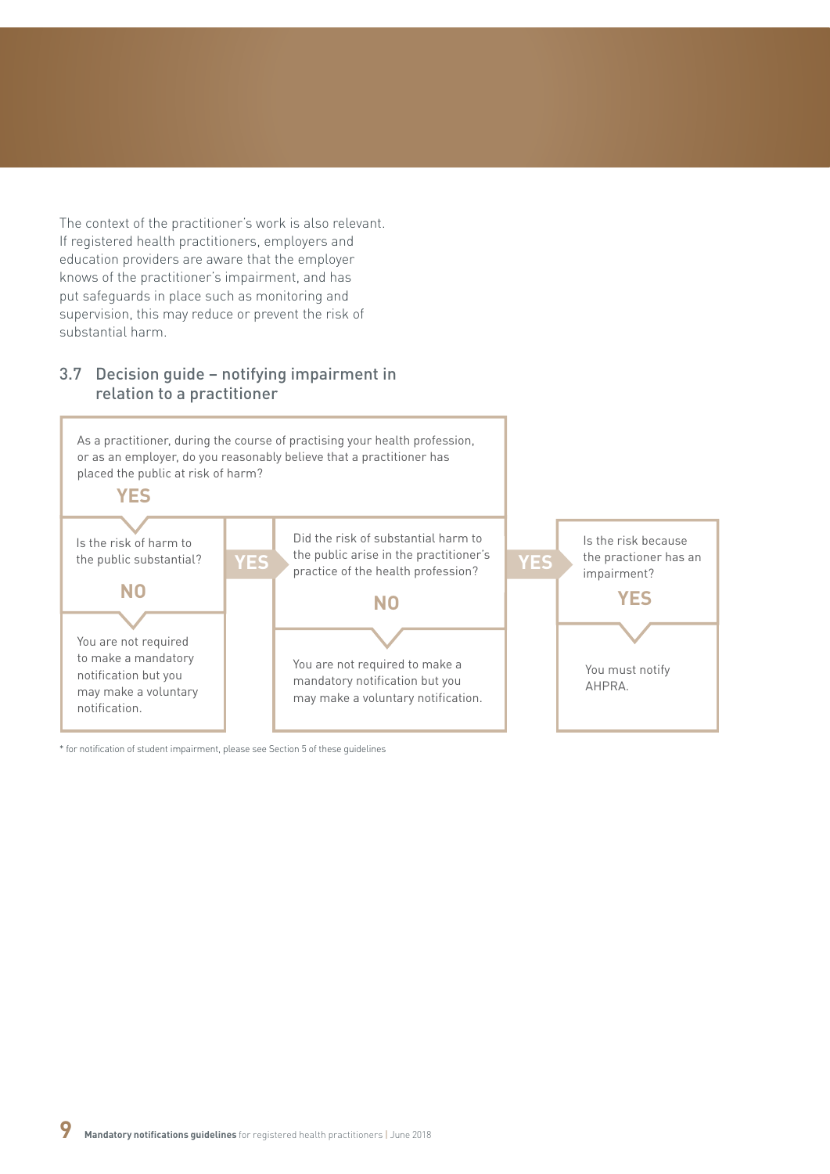<span id="page-8-0"></span>The context of the practitioner's work is also relevant. If registered health practitioners, employers and education providers are aware that the employer knows of the practitioner's impairment, and has put safeguards in place such as monitoring and supervision, this may reduce or prevent the risk of substantial harm.

### 3.7 Decision guide – notifying impairment in relation to a practitioner



\* for notification of student impairment, please see Section 5 of these guidelines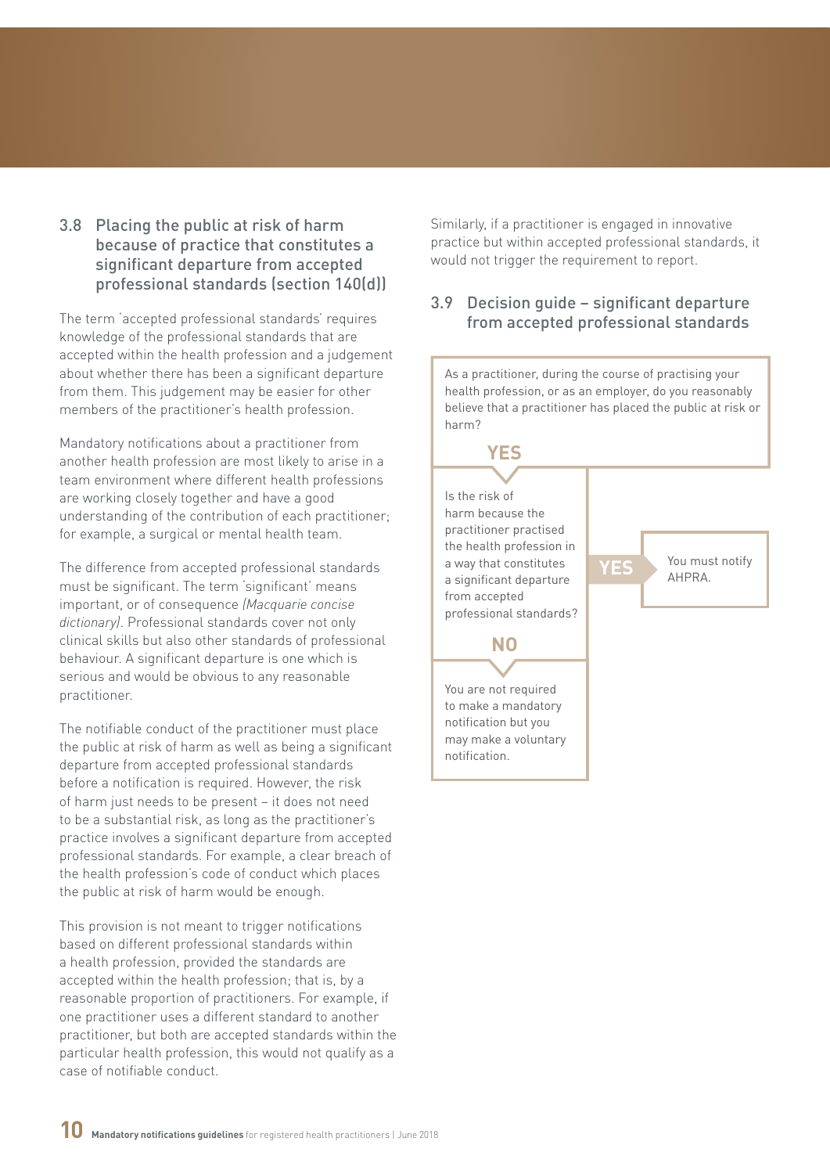### <span id="page-9-0"></span>3.8 Placing the public at risk of harm because of practice that constitutes a significant departure from accepted professional standards (section 140(d))

The term 'accepted professional standards' requires knowledge of the professional standards that are accepted within the health profession and a judgement about whether there has been a significant departure from them. This judgement may be easier for other members of the practitioner's health profession.

Mandatory notifications about a practitioner from another health profession are most likely to arise in a team environment where different health professions are working closely together and have a good understanding of the contribution of each practitioner; for example, a surgical or mental health team.

The difference from accepted professional standards must be significant. The term 'significant' means important, or of consequence *(Macquarie concise dictionary)*. Professional standards cover not only clinical skills but also other standards of professional behaviour. A significant departure is one which is serious and would be obvious to any reasonable practitioner.

The notifiable conduct of the practitioner must place the public at risk of harm as well as being a significant departure from accepted professional standards before a notification is required. However, the risk of harm just needs to be present – it does not need to be a substantial risk, as long as the practitioner's practice involves a significant departure from accepted professional standards. For example, a clear breach of the health profession's code of conduct which places the public at risk of harm would be enough.

This provision is not meant to trigger notifications based on different professional standards within a health profession, provided the standards are accepted within the health profession; that is, by a reasonable proportion of practitioners. For example, if one practitioner uses a different standard to another practitioner, but both are accepted standards within the particular health profession, this would not qualify as a case of notifiable conduct.

Similarly, if a practitioner is engaged in innovative practice but within accepted professional standards, it would not trigger the requirement to report.

### 3.9 Decision guide – significant departure from accepted professional standards

As a practitioner, during the course of practising your health profession, or as an employer, do you reasonably believe that a practitioner has placed the public at risk or harm?

**YES**

# **YES**

Is the risk of harm because the practitioner practised the health profession in a way that constitutes a significant departure from accepted professional standards?

You must notify AHPRA.

#### You are not required to make a mandatory notification but you may make a voluntary

notification.

**NO**

**10 Mandatory notifications guidelines** for registered health practitioners <sup>|</sup> June 2018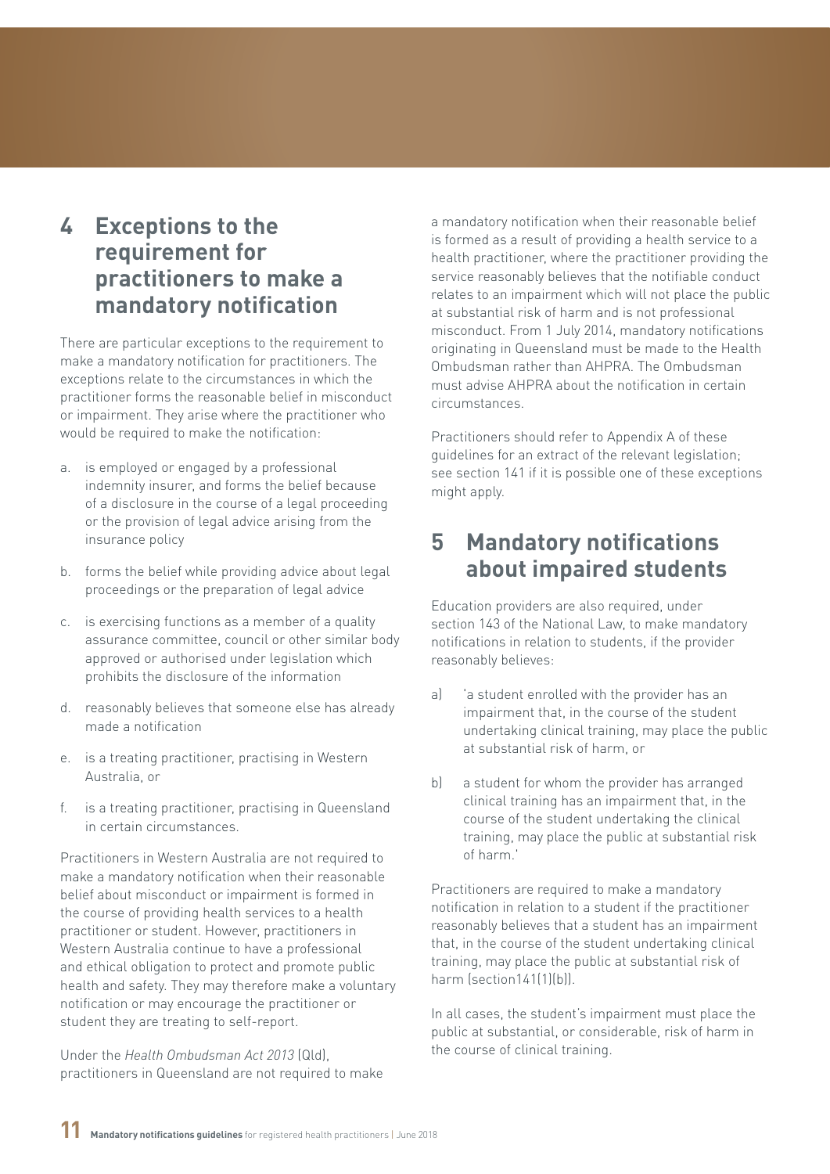# <span id="page-10-0"></span>**4 Exceptions to the requirement for practitioners to make a mandatory notification**

There are particular exceptions to the requirement to make a mandatory notification for practitioners. The exceptions relate to the circumstances in which the practitioner forms the reasonable belief in misconduct or impairment. They arise where the practitioner who would be required to make the notification:

- a. is employed or engaged by a professional indemnity insurer, and forms the belief because of a disclosure in the course of a legal proceeding or the provision of legal advice arising from the insurance policy
- b. forms the belief while providing advice about legal proceedings or the preparation of legal advice
- c. is exercising functions as a member of a quality assurance committee, council or other similar body approved or authorised under legislation which prohibits the disclosure of the information
- d. reasonably believes that someone else has already made a notification
- e. is a treating practitioner, practising in Western Australia, or
- f. is a treating practitioner, practising in Queensland in certain circumstances.

Practitioners in Western Australia are not required to make a mandatory notification when their reasonable belief about misconduct or impairment is formed in the course of providing health services to a health practitioner or student. However, practitioners in Western Australia continue to have a professional and ethical obligation to protect and promote public health and safety. They may therefore make a voluntary notification or may encourage the practitioner or student they are treating to self-report.

Under the *Health Ombudsman Act 2013* (Qld), practitioners in Queensland are not required to make a mandatory notification when their reasonable belief is formed as a result of providing a health service to a health practitioner, where the practitioner providing the service reasonably believes that the notifiable conduct relates to an impairment which will not place the public at substantial risk of harm and is not professional misconduct. From 1 July 2014, mandatory notifications originating in Queensland must be made to the Health Ombudsman rather than AHPRA. The Ombudsman must advise AHPRA about the notification in certain circumstances.

Practitioners should refer to Appendix A of these guidelines for an extract of the relevant legislation; see section 141 if it is possible one of these exceptions might apply.

# **5 Mandatory notifications about impaired students**

Education providers are also required, under section 143 of the National Law, to make mandatory notifications in relation to students, if the provider reasonably believes:

- a) 'a student enrolled with the provider has an impairment that, in the course of the student undertaking clinical training, may place the public at substantial risk of harm, or
- b) a student for whom the provider has arranged clinical training has an impairment that, in the course of the student undertaking the clinical training, may place the public at substantial risk of harm.'

Practitioners are required to make a mandatory notification in relation to a student if the practitioner reasonably believes that a student has an impairment that, in the course of the student undertaking clinical training, may place the public at substantial risk of harm (section141(1)(b)).

In all cases, the student's impairment must place the public at substantial, or considerable, risk of harm in the course of clinical training.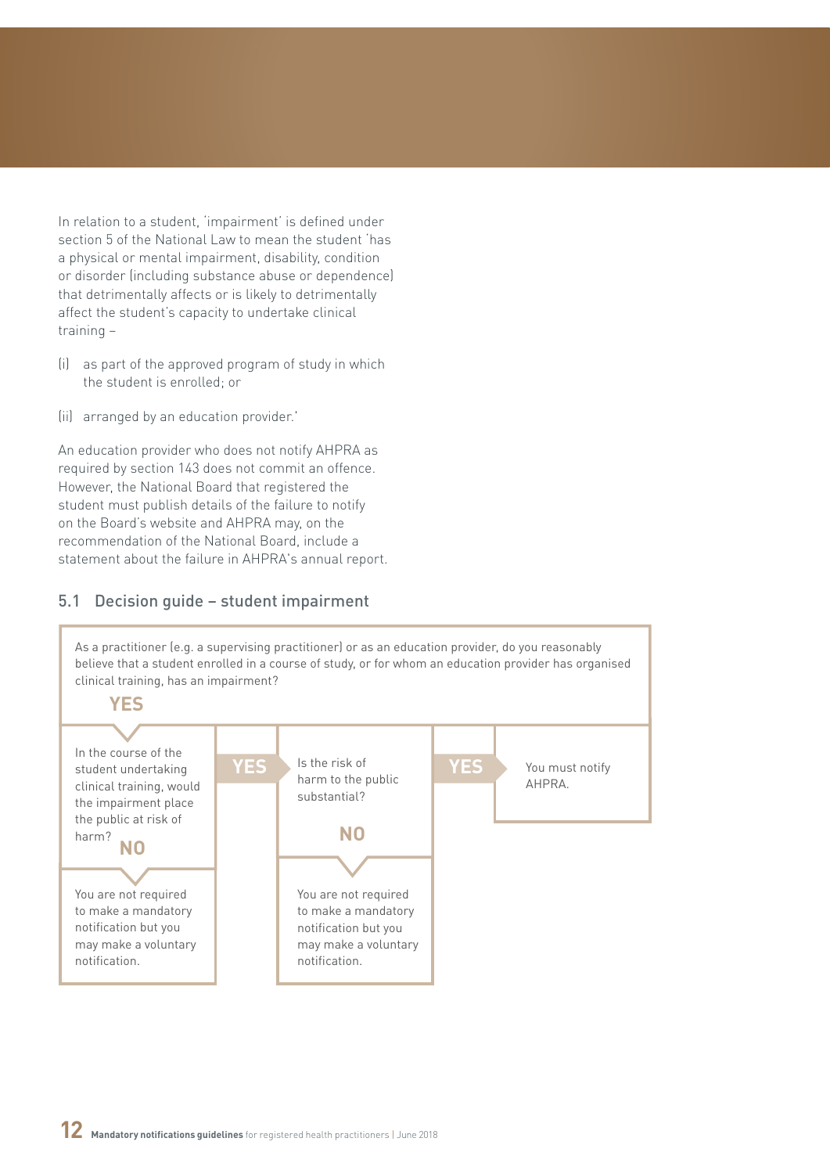<span id="page-11-0"></span>In relation to a student, 'impairment' is defined under section 5 of the National Law to mean the student 'has a physical or mental impairment, disability, condition or disorder (including substance abuse or dependence) that detrimentally affects or is likely to detrimentally affect the student's capacity to undertake clinical training –

- (i) as part of the approved program of study in which the student is enrolled; or
- (ii) arranged by an education provider.'

An education provider who does not notify AHPRA as required by section 143 does not commit an offence. However, the National Board that registered the student must publish details of the failure to notify on the Board's website and AHPRA may, on the recommendation of the National Board, include a statement about the failure in AHPRA's annual report.

### 5.1 Decision guide – student impairment

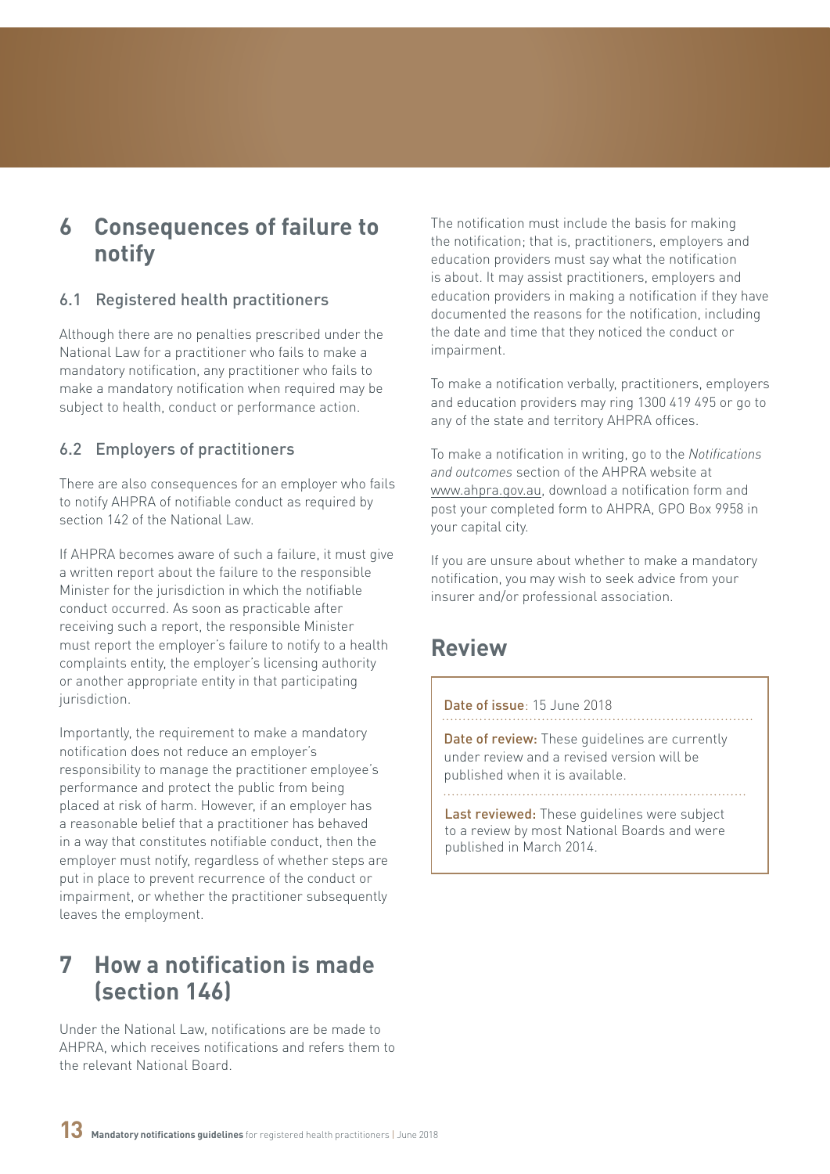# <span id="page-12-0"></span>**6 Consequences of failure to notify**

### 6.1 Registered health practitioners

Although there are no penalties prescribed under the National Law for a practitioner who fails to make a mandatory notification, any practitioner who fails to make a mandatory notification when required may be subject to health, conduct or performance action.

## 6.2 Employers of practitioners

There are also consequences for an employer who fails to notify AHPRA of notifiable conduct as required by section 142 of the National Law

If AHPRA becomes aware of such a failure, it must give a written report about the failure to the responsible Minister for the jurisdiction in which the notifiable conduct occurred. As soon as practicable after receiving such a report, the responsible Minister must report the employer's failure to notify to a health complaints entity, the employer's licensing authority or another appropriate entity in that participating jurisdiction.

Importantly, the requirement to make a mandatory notification does not reduce an employer's responsibility to manage the practitioner employee's performance and protect the public from being placed at risk of harm. However, if an employer has a reasonable belief that a practitioner has behaved in a way that constitutes notifiable conduct, then the employer must notify, regardless of whether steps are put in place to prevent recurrence of the conduct or impairment, or whether the practitioner subsequently leaves the employment.

# **7 How a notification is made (section 146)**

Under the National Law, notifications are be made to AHPRA, which receives notifications and refers them to the relevant National Board.

The notification must include the basis for making the notification; that is, practitioners, employers and education providers must say what the notification is about. It may assist practitioners, employers and education providers in making a notification if they have documented the reasons for the notification, including the date and time that they noticed the conduct or impairment.

To make a notification verbally, practitioners, employers and education providers may ring 1300 419 495 or go to any of the state and territory AHPRA offices.

To make a notification in writing, go to the *Notifications and outcomes* section of the AHPRA website at [www.ahpra.gov.au,](http://www.ahpra.gov.au) download a notification form and post your completed form to AHPRA, GPO Box 9958 in your capital city.

If you are unsure about whether to make a mandatory notification, you may wish to seek advice from your insurer and/or professional association.

# **Review**

#### Date of issue: 15 June 2018

Date of review: These quidelines are currently under review and a revised version will be published when it is available.

Last reviewed: These quidelines were subject to a review by most National Boards and were published in March 2014.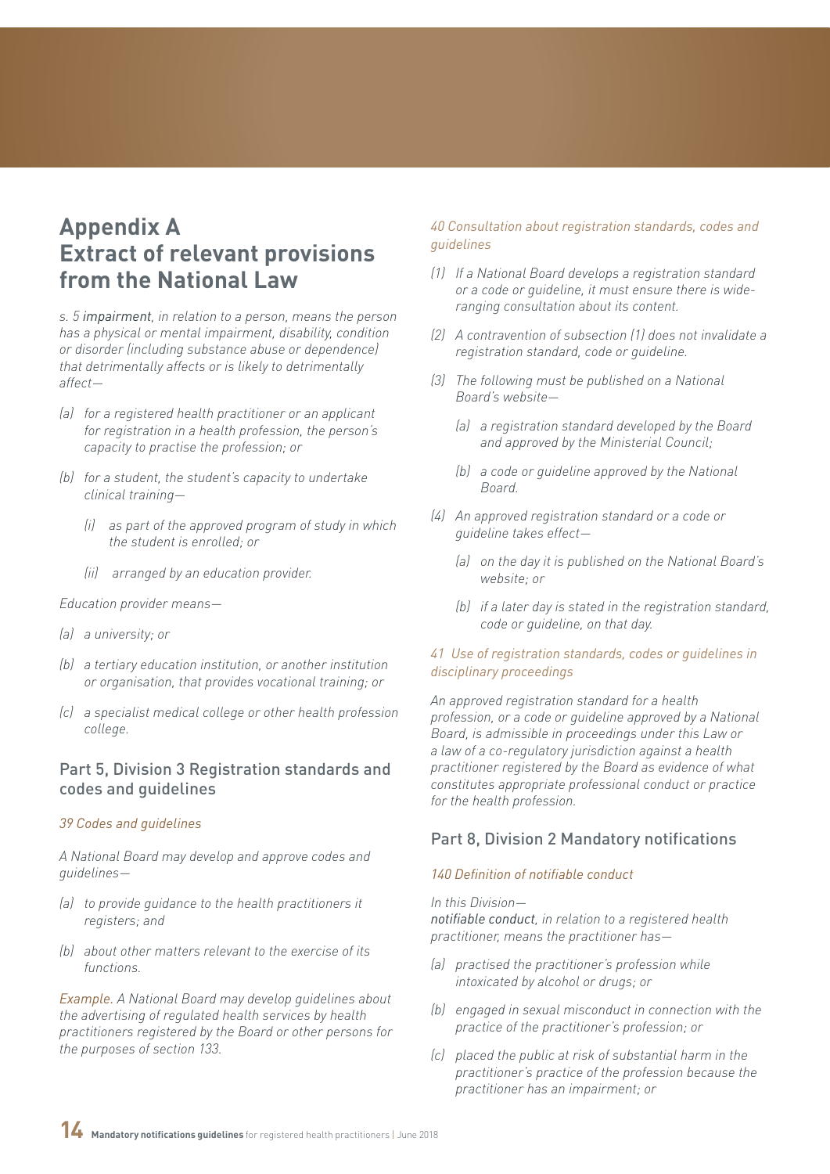# <span id="page-13-0"></span>**Appendix A Extract of relevant provisions from the National Law**

*s. 5 impairment, in relation to a person, means the person has a physical or mental impairment, disability, condition or disorder (including substance abuse or dependence) that detrimentally affects or is likely to detrimentally affect—*

- *(a) for a registered health practitioner or an applicant for registration in a health profession, the person's capacity to practise the profession; or*
- *(b) for a student, the student's capacity to undertake clinical training—*
	- *(i) as part of the approved program of study in which the student is enrolled; or*
	- *(ii) arranged by an education provider.*

*Education provider means—*

- *(a) a university; or*
- *(b) a tertiary education institution, or another institution or organisation, that provides vocational training; or*
- *(c) a specialist medical college or other health profession college.*

### Part 5, Division 3 Registration standards and codes and guidelines

#### *39 Codes and guidelines*

*A National Board may develop and approve codes and guidelines—*

- *(a) to provide guidance to the health practitioners it registers; and*
- *(b) about other matters relevant to the exercise of its functions.*

*Example. A National Board may develop guidelines about the advertising of regulated health services by health practitioners registered by the Board or other persons for the purposes of section 133.*

#### *40 Consultation about registration standards, codes and guidelines*

- *(1) If a National Board develops a registration standard or a code or guideline, it must ensure there is wideranging consultation about its content.*
- *(2) A contravention of subsection (1) does not invalidate a registration standard, code or guideline.*
- *(3) The following must be published on a National Board's website—*
	- *(a) a registration standard developed by the Board and approved by the Ministerial Council;*
	- *(b) a code or guideline approved by the National Board.*
- *(4) An approved registration standard or a code or guideline takes effect—*
	- *(a) on the day it is published on the National Board's website; or*
	- *(b) if a later day is stated in the registration standard, code or guideline, on that day.*

#### *41 Use of registration standards, codes or guidelines in disciplinary proceedings*

*An approved registration standard for a health profession, or a code or guideline approved by a National Board, is admissible in proceedings under this Law or a law of a co-regulatory jurisdiction against a health practitioner registered by the Board as evidence of what constitutes appropriate professional conduct or practice for the health profession.*

### Part 8, Division 2 Mandatory notifications

#### *140 Definition of notifiable conduct*

#### *In this Division—*

*notifiable conduct, in relation to a registered health practitioner, means the practitioner has—*

- *(a) practised the practitioner's profession while intoxicated by alcohol or drugs; or*
- *(b) engaged in sexual misconduct in connection with the practice of the practitioner's profession; or*
- *(c) placed the public at risk of substantial harm in the practitioner's practice of the profession because the practitioner has an impairment; or*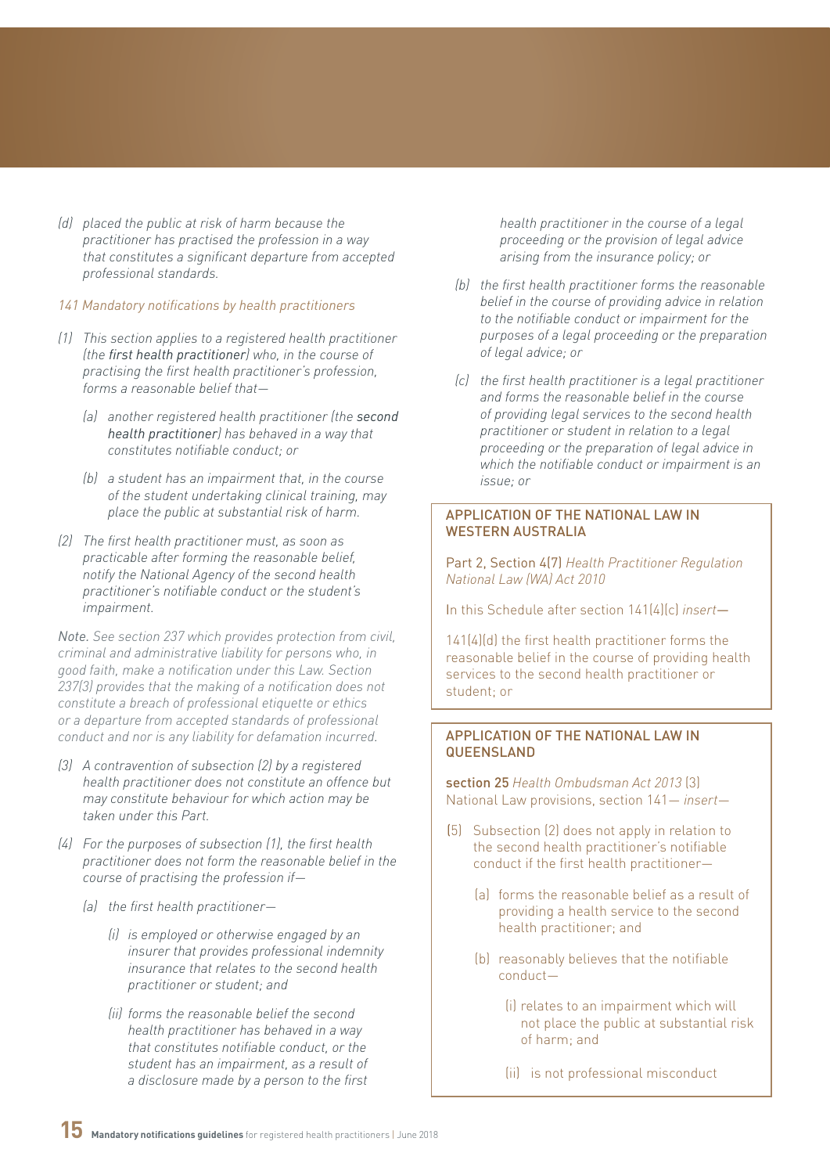*(d) placed the public at risk of harm because the practitioner has practised the profession in a way that constitutes a significant departure from accepted professional standards.*

#### *141 Mandatory notifications by health practitioners*

- *(1) This section applies to a registered health practitioner (the first health practitioner) who, in the course of practising the first health practitioner's profession, forms a reasonable belief that—*
	- *(a) another registered health practitioner (the second health practitioner) has behaved in a way that constitutes notifiable conduct; or*
	- *(b) a student has an impairment that, in the course of the student undertaking clinical training, may place the public at substantial risk of harm.*
- *(2) The first health practitioner must, as soon as practicable after forming the reasonable belief, notify the National Agency of the second health practitioner's notifiable conduct or the student's impairment.*

*Note. See section 237 which provides protection from civil, criminal and administrative liability for persons who, in good faith, make a notification under this Law. Section 237(3) provides that the making of a notification does not constitute a breach of professional etiquette or ethics or a departure from accepted standards of professional conduct and nor is any liability for defamation incurred.*

- *(3) A contravention of subsection (2) by a registered health practitioner does not constitute an offence but may constitute behaviour for which action may be taken under this Part.*
- *(4) For the purposes of subsection (1), the first health practitioner does not form the reasonable belief in the course of practising the profession if—*
	- *(a) the first health practitioner—*
		- *(i) is employed or otherwise engaged by an insurer that provides professional indemnity insurance that relates to the second health practitioner or student; and*
		- *(ii) forms the reasonable belief the second health practitioner has behaved in a way that constitutes notifiable conduct, or the student has an impairment, as a result of a disclosure made by a person to the first*

*health practitioner in the course of a legal proceeding or the provision of legal advice arising from the insurance policy; or*

- *(b) the first health practitioner forms the reasonable belief in the course of providing advice in relation to the notifiable conduct or impairment for the purposes of a legal proceeding or the preparation of legal advice; or*
- *(c) the first health practitioner is a legal practitioner and forms the reasonable belief in the course of providing legal services to the second health practitioner or student in relation to a legal proceeding or the preparation of legal advice in which the notifiable conduct or impairment is an issue; or*

#### APPLICATION OF THE NATIONAL LAW IN WESTERN AUSTRALIA

Part 2, Section 4(7) *Health Practitioner Regulation National Law (WA) Act 2010*

In this Schedule after section 141(4)(c) *insert*—

141(4)(d) the first health practitioner forms the reasonable belief in the course of providing health services to the second health practitioner or student; or

#### APPLICATION OF THE NATIONAL LAW IN **QUEENSLAND**

section 25 *Health Ombudsman Act 2013* (3) National Law provisions, section 141— *insert*—

- (5) Subsection (2) does not apply in relation to the second health practitioner's notifiable conduct if the first health practitioner—
	- (a) forms the reasonable belief as a result of providing a health service to the second health practitioner; and
	- (b) reasonably believes that the notifiable conduct—
		- (i) relates to an impairment which will not place the public at substantial risk of harm; and

(ii) is not professional misconduct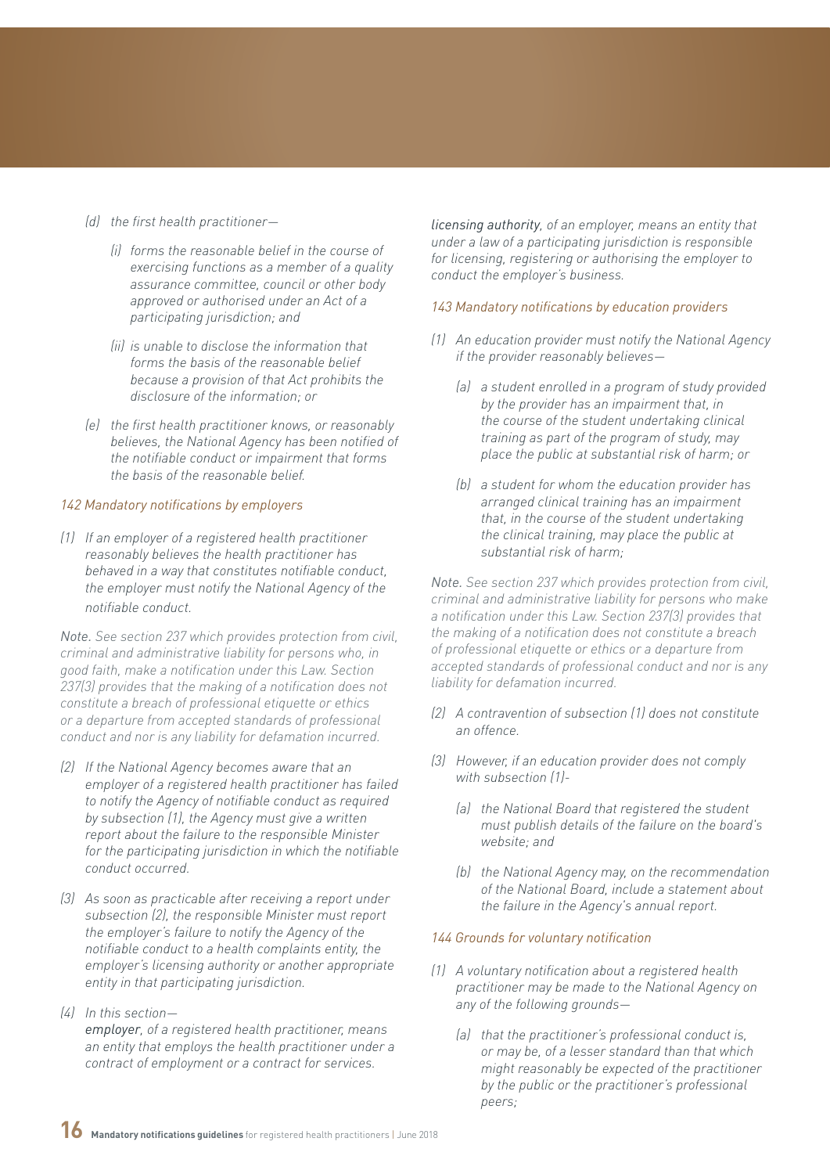- *(d) the first health practitioner—*
	- *(i) forms the reasonable belief in the course of exercising functions as a member of a quality assurance committee, council or other body approved or authorised under an Act of a participating jurisdiction; and*
	- *(ii) is unable to disclose the information that forms the basis of the reasonable belief because a provision of that Act prohibits the disclosure of the information; or*
- *(e) the first health practitioner knows, or reasonably believes, the National Agency has been notified of the notifiable conduct or impairment that forms the basis of the reasonable belief.*

#### *142 Mandatory notifications by employers*

*(1) If an employer of a registered health practitioner reasonably believes the health practitioner has behaved in a way that constitutes notifiable conduct, the employer must notify the National Agency of the notifiable conduct.*

*Note. See section 237 which provides protection from civil, criminal and administrative liability for persons who, in good faith, make a notification under this Law. Section 237(3) provides that the making of a notification does not constitute a breach of professional etiquette or ethics or a departure from accepted standards of professional conduct and nor is any liability for defamation incurred.*

- *(2) If the National Agency becomes aware that an employer of a registered health practitioner has failed to notify the Agency of notifiable conduct as required by subsection (1), the Agency must give a written report about the failure to the responsible Minister for the participating jurisdiction in which the notifiable conduct occurred.*
- *(3) As soon as practicable after receiving a report under subsection (2), the responsible Minister must report the employer's failure to notify the Agency of the notifiable conduct to a health complaints entity, the employer's licensing authority or another appropriate entity in that participating jurisdiction.*
- *(4) In this section employer, of a registered health practitioner, means an entity that employs the health practitioner under a contract of employment or a contract for services.*

*licensing authority, of an employer, means an entity that under a law of a participating jurisdiction is responsible for licensing, registering or authorising the employer to conduct the employer's business.*

#### *143 Mandatory notifications by education providers*

- *(1) An education provider must notify the National Agency if the provider reasonably believes—*
	- *(a) a student enrolled in a program of study provided by the provider has an impairment that, in the course of the student undertaking clinical training as part of the program of study, may place the public at substantial risk of harm; or*
	- *(b) a student for whom the education provider has arranged clinical training has an impairment that, in the course of the student undertaking the clinical training, may place the public at substantial risk of harm;*

*Note. See section 237 which provides protection from civil, criminal and administrative liability for persons who make a notification under this Law. Section 237(3) provides that the making of a notification does not constitute a breach of professional etiquette or ethics or a departure from accepted standards of professional conduct and nor is any liability for defamation incurred.*

- *(2) A contravention of subsection (1) does not constitute an offence.*
- *(3) However, if an education provider does not comply with subsection (1)-*
	- *(a) the National Board that registered the student must publish details of the failure on the board's website; and*
	- *(b) the National Agency may, on the recommendation of the National Board, include a statement about the failure in the Agency's annual report.*

#### *144 Grounds for voluntary notification*

- *(1) A voluntary notification about a registered health practitioner may be made to the National Agency on any of the following grounds—*
	- *(a) that the practitioner's professional conduct is, or may be, of a lesser standard than that which might reasonably be expected of the practitioner by the public or the practitioner's professional peers;*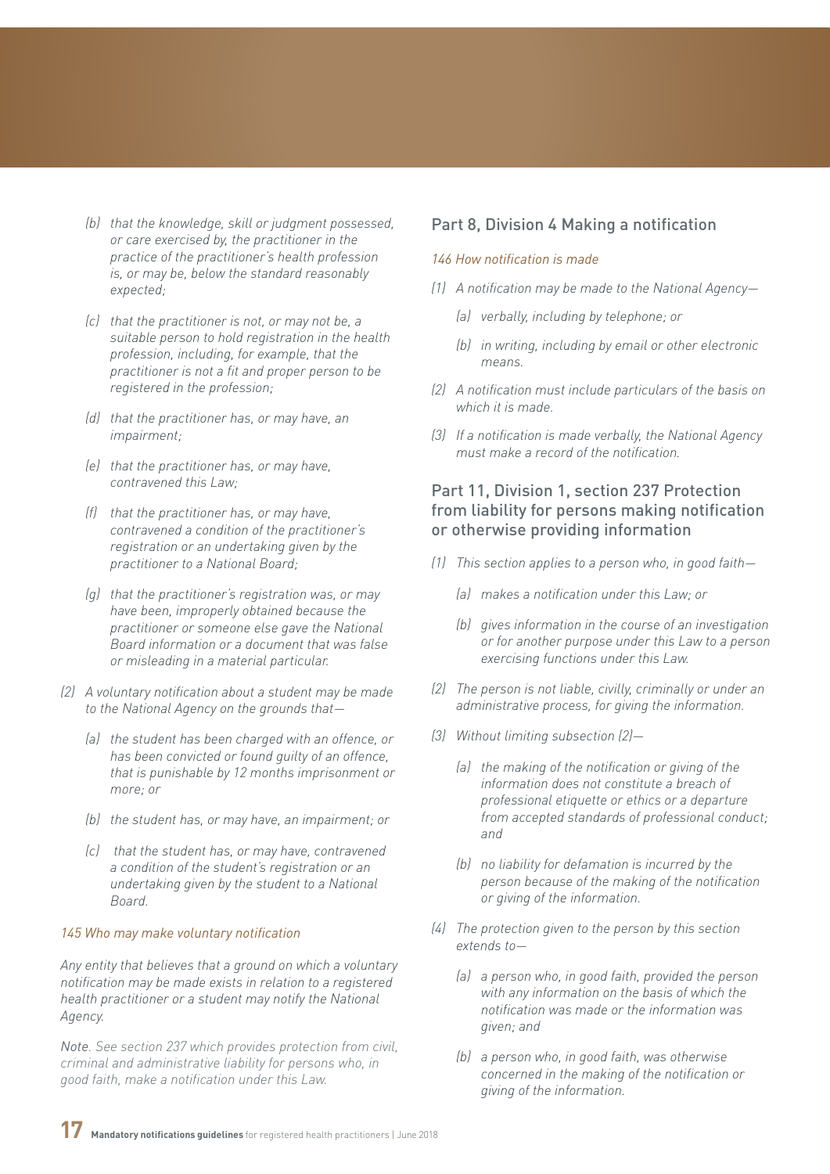- *(b) that the knowledge, skill or judgment possessed, or care exercised by, the practitioner in the practice of the practitioner's health profession is, or may be, below the standard reasonably expected;*
- *(c) that the practitioner is not, or may not be, a suitable person to hold registration in the health profession, including, for example, that the practitioner is not a fit and proper person to be registered in the profession;*
- *(d) that the practitioner has, or may have, an impairment;*
- *(e) that the practitioner has, or may have, contravened this Law;*
- *(f) that the practitioner has, or may have, contravened a condition of the practitioner's registration or an undertaking given by the practitioner to a National Board;*
- *(g) that the practitioner's registration was, or may have been, improperly obtained because the practitioner or someone else gave the National Board information or a document that was false or misleading in a material particular.*
- *(2) A voluntary notification about a student may be made to the National Agency on the grounds that—*
	- *(a) the student has been charged with an offence, or has been convicted or found guilty of an offence, that is punishable by 12 months imprisonment or more; or*
	- *(b) the student has, or may have, an impairment; or*
	- *(c) that the student has, or may have, contravened a condition of the student's registration or an undertaking given by the student to a National Board.*

#### *145 Who may make voluntary notification*

*Any entity that believes that a ground on which a voluntary notification may be made exists in relation to a registered health practitioner or a student may notify the National Agency.*

*Note. See section 237 which provides protection from civil, criminal and administrative liability for persons who, in good faith, make a notification under this Law.*

#### Part 8, Division 4 Making a notification

#### *146 How notification is made*

- *(1) A notification may be made to the National Agency—*
	- *(a) verbally, including by telephone; or*
	- *(b) in writing, including by email or other electronic means.*
- *(2) A notification must include particulars of the basis on which it is made.*
- *(3) If a notification is made verbally, the National Agency must make a record of the notification.*

### Part 11, Division 1, section 237 Protection from liability for persons making notification or otherwise providing information

- *(1) This section applies to a person who, in good faith—*
	- *(a) makes a notification under this Law; or*
	- *(b) gives information in the course of an investigation or for another purpose under this Law to a person exercising functions under this Law.*
- *(2) The person is not liable, civilly, criminally or under an administrative process, for giving the information.*
- *(3) Without limiting subsection (2)—*
	- *(a) the making of the notification or giving of the information does not constitute a breach of professional etiquette or ethics or a departure from accepted standards of professional conduct; and*
	- *(b) no liability for defamation is incurred by the person because of the making of the notification or giving of the information.*
- *(4) The protection given to the person by this section extends to—*
	- *(a) a person who, in good faith, provided the person with any information on the basis of which the notification was made or the information was given; and*
	- *(b) a person who, in good faith, was otherwise concerned in the making of the notification or giving of the information.*